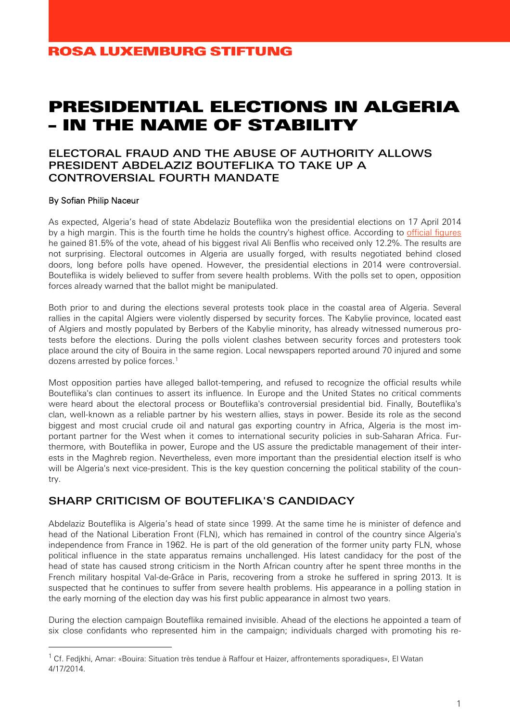# PRESIDENTIAL ELECTIONS IN ALGERIA – IN THE NAME OF STABILITY

#### ELECTORAL FRAUD AND THE ABUSE OF AUTHORITY ALLOWS PRESIDENT ABDELAZIZ BOUTEFLIKA TO TAKE UP A CONTROVERSIAL FOURTH MANDATE

#### By Sofian Philip Naceur

As expected, Algeria's head of state Abdelaziz Bouteflika won the presidential elections on 17 April 2014 by a high margin. This is the fourth time he holds the country's highest office. According to [official figures](http://www.aps.dz/fr/dossier-election-présidentielle-2014/4756-abdelaziz-bouteflika-réélu-président-de-la-république-pour-un-quatrième-mandat) he gained 81.5% of the vote, ahead of his biggest rival Ali Benflis who received only 12.2%. The results are not surprising. Electoral outcomes in Algeria are usually forged, with results negotiated behind closed doors, long before polls have opened. However, the presidential elections in 2014 were controversial. Bouteflika is widely believed to suffer from severe health problems. With the polls set to open, opposition forces already warned that the ballot might be manipulated.

Both prior to and during the elections several protests took place in the coastal area of Algeria. Several rallies in the capital Algiers were violently dispersed by security forces. The Kabylie province, located east of Algiers and mostly populated by Berbers of the Kabylie minority, has already witnessed numerous protests before the elections. During the polls violent clashes between security forces and protesters took place around the city of Bouira in the same region. Local newspapers reported around 70 injured and some dozens arrested by police forces.<sup>[1](#page-0-0)</sup>

Most opposition parties have alleged ballot-tempering, and refused to recognize the official results while Bouteflika's clan continues to assert its influence. In Europe and the United States no critical comments were heard about the electoral process or Bouteflika's controversial presidential bid. Finally, Bouteflika's clan, well-known as a reliable partner by his western allies, stays in power. Beside its role as the second biggest and most crucial crude oil and natural gas exporting country in Africa, Algeria is the most important partner for the West when it comes to international security policies in sub-Saharan Africa. Furthermore, with Bouteflika in power, Europe and the US assure the predictable management of their interests in the Maghreb region. Nevertheless, even more important than the presidential election itself is who will be Algeria's next vice-president. This is the key question concerning the political stability of the country.

#### SHARP CRITICISM OF BOUTFFLIKA'S CANDIDACY

Abdelaziz Bouteflika is Algeria's head of state since 1999. At the same time he is minister of defence and head of the National Liberation Front (FLN), which has remained in control of the country since Algeria's independence from France in 1962. He is part of the old generation of the former unity party FLN, whose political influence in the state apparatus remains unchallenged. His latest candidacy for the post of the head of state has caused strong criticism in the North African country after he spent three months in the French military hospital Val-de-Grâce in Paris, recovering from a stroke he suffered in spring 2013. It is suspected that he continues to suffer from severe health problems. His appearance in a polling station in the early morning of the election day was his first public appearance in almost two years.

During the election campaign Bouteflika remained invisible. Ahead of the elections he appointed a team of six close confidants who represented him in the campaign; individuals charged with promoting his re-

<span id="page-0-0"></span> $1$  Cf. Fedjkhi, Amar: «Bouira: Situation très tendue à Raffour et Haizer, affrontements sporadiques», El Watan 4/17/2014.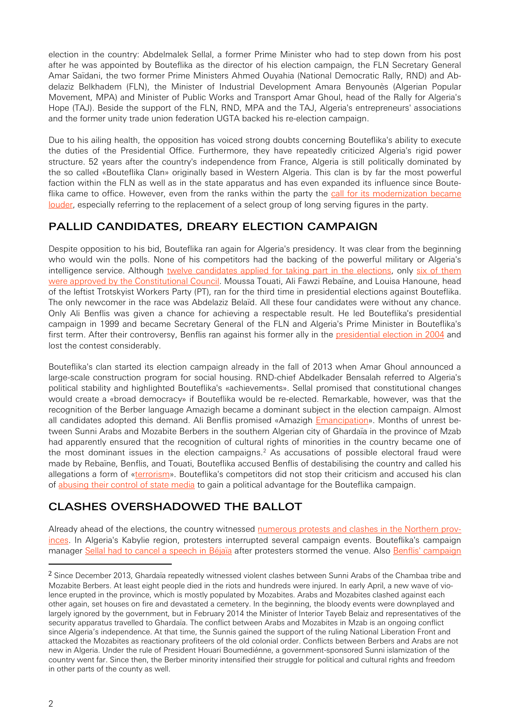election in the country: Abdelmalek Sellal, a former Prime Minister who had to step down from his post after he was appointed by Bouteflika as the director of his election campaign, the FLN Secretary General Amar Saïdani, the two former Prime Ministers Ahmed Ouyahia (National Democratic Rally, RND) and Abdelaziz Belkhadem (FLN), the Minister of Industrial Development Amara Benyounès (Algerian Popular Movement, MPA) and Minister of Public Works and Transport Amar Ghoul, head of the Rally for Algeria's Hope (TAJ). Beside the support of the FLN, RND, MPA and the TAJ, Algeria's entrepreneurs' associations and the former unity trade union federation UGTA backed his re-election campaign.

Due to his ailing health, the opposition has voiced strong doubts concerning Bouteflika's ability to execute the duties of the Presidential Office. Furthermore, they have repeatedly criticized Algeria's rigid power structure. 52 years after the country's independence from France, Algeria is still politically dominated by the so called «Bouteflika Clan» originally based in Western Algeria. This clan is by far the most powerful faction within the FLN as well as in the state apparatus and has even expanded its influence since Bouteflika came to office. However, even from the ranks within the party the [call for its modernization became](http://www.elwatan2014.com/english/item/1241-The-old-generation-must-prepare-the-terms-of-its-departure)  [louder,](http://www.elwatan2014.com/english/item/1241-The-old-generation-must-prepare-the-terms-of-its-departure) especially referring to the replacement of a select group of long serving figures in the party.

## PALLID CANDIDATES, DREARY ELECTION CAMPAIGN

Despite opposition to his bid, Bouteflika ran again for Algeria's presidency. It was clear from the beginning who would win the polls. None of his competitors had the backing of the powerful military or Algeria's intelligence service. Although [twelve candidates applied for taking part in the elections,](http://www.jeuneafrique.com/Article/ARTJAWEB20140305083626/louisa-hanoune-moussa-touati-ali-benflis-presidentielle-algerienne-2014-algerie-presidentielle-algerienne-douze-candidats-ont-depose-leur-dossier.html) only six of them [were approved by the Constitutional Council.](http://www.aljazeera.com/news/africa/2014/03/presidential-candidates-201432345556671464.html) Moussa Touati, Ali Fawzi Rebaïne, and Louisa Hanoune, head of the leftist Trotskyist Workers Party (PT), ran for the third time in presidential elections against Bouteflika. The only newcomer in the race was Abdelaziz Belaïd. All these four candidates were without any chance. Only Ali Benflis was given a chance for achieving a respectable result. He led Bouteflika's presidential campaign in 1999 and became Secretary General of the FLN and Algeria's Prime Minister in Bouteflika's first term. After their controversy, Benflis ran against his former ally in the [presidential election](http://www.algeria-watch.org/de/artikel/wahlen_2004/wiederwahl.htm) in 2004 and lost the contest considerably.

Bouteflika's clan started its election campaign already in the fall of 2013 when Amar Ghoul announced a large-scale construction program for social housing. RND-chief Abdelkader Bensalah referred to Algeria's political stability and highlighted Bouteflika's «achievements». Sellal promised that constitutional changes would create a «broad democracy» if Bouteflika would be re-elected. Remarkable, however, was that the recognition of the Berber language Amazigh became a dominant subject in the election campaign. Almost all candidates adopted this demand. Ali Benflis promised «Amazigh *Emancipation»*. Months of unrest between Sunni Arabs and Mozabite Berbers in the southern Algerian city of Ghardaïa in the province of Mzab had apparently ensured that the recognition of cultural rights of minorities in the country became one of the most dominant issues in the election campaigns.<sup>[2](#page-1-0)</sup> As accusations of possible electoral fraud were made by Rebaïne, Benflis, and Touati, Bouteflika accused Benflis of destabilising the country and called his allegations a form of [«terrorism»](http://magharebia.com/en_GB/articles/awi/features/2014/04/16/feature-02). Bouteflika's competitors did not stop their criticism and accused his clan of [abusing their control of state media](http://www.algerien-heute.com/politik/1560-praesidentschaftskandidat-moussa-touati-trifft-eine-eu-delegation-von-wahlbeobachtern.html) to gain a political advantage for the Bouteflika campaign.

## CLASHES OVERSHADOWED THE BALLOT

Already ahead of the elections, the country witnessed [numerous protests and clashes in the Northern prov](http://www.jeuneafrique.com/Article/ARTJAWEB20140305152549/algerie-presidentielle-algerie-2014-mustapha-benfodil-abdelaziz-bouteflikaalgerie-un-4e-mandat-de-bouteflika-barakat-dit-non.html)[inces.](http://www.jeuneafrique.com/Article/ARTJAWEB20140305152549/algerie-presidentielle-algerie-2014-mustapha-benfodil-abdelaziz-bouteflikaalgerie-un-4e-mandat-de-bouteflika-barakat-dit-non.html) In Algeria's Kabylie region, protesters interrupted several campaign events. Bouteflika's campaign manager [Sellal had to cancel a speech in Béjaïa](http://magharebia.com/en_GB/articles/awi/features/2014/04/10/feature-01) after protesters stormed the venue. Also [Benflis' campaign](http://www.jeuneafrique.com/Article/ARTJAWEB20140408184115/ali-benflis-presidentielle-algerie-2014-abdelaziz-bouteflika-vie-des-partis-algerie-presidentielle-algerienne-un-meeting-de-soutien-a-ali-benflis-interrompu-par-des-manifestants.html)

<span id="page-1-0"></span><sup>&</sup>lt;sup>2</sup> Since December 2013, Ghardaïa repeatedly witnessed violent clashes between Sunni Arabs of the Chambaa tribe and Mozabite Berbers. At least eight people died in the riots and hundreds were injured. In early April, a new wave of violence erupted in the province, which is mostly populated by Mozabites. Arabs and Mozabites clashed against each other again, set houses on fire and devastated a cemetery. In the beginning, the bloody events were downplayed and largely ignored by the government, but in February 2014 the Minister of Interior Tayeb Belaiz and representatives of the security apparatus travelled to Ghardaïa. The conflict between Arabs and Mozabites in Mzab is an ongoing conflict since Algeria's independence. At that time, the Sunnis gained the support of the ruling National Liberation Front and attacked the Mozabites as reactionary profiteers of the old colonial order. Conflicts between Berbers and Arabs are not new in Algeria. Under the rule of President Houari Boumediénne, a government-sponsored Sunni islamization of the country went far. Since then, the Berber minority intensified their struggle for political and cultural rights and freedom in other parts of the county as well.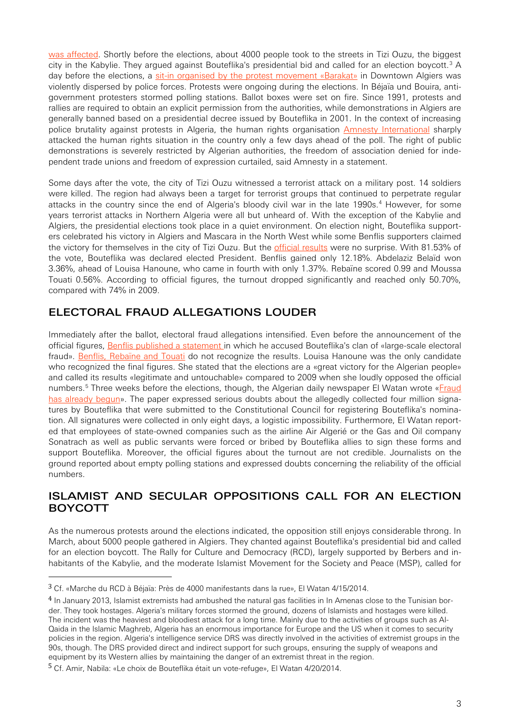[was affected.](http://www.jeuneafrique.com/Article/ARTJAWEB20140408184115/ali-benflis-presidentielle-algerie-2014-abdelaziz-bouteflika-vie-des-partis-algerie-presidentielle-algerienne-un-meeting-de-soutien-a-ali-benflis-interrompu-par-des-manifestants.html) Shortly before the elections, about 4000 people took to the streets in Tizi Ouzu, the biggest city in the Kabylie. They argued against Bouteflika's presidential bid and called for an election boycott.[3](#page-2-0) A day before the elections, a [sit-in organised by the protest movement «Barakat»](http://www.lematindz.net/news/14199-alger-reprime-un-devoir-eclairer-les-opinions-publiques-occidentales.html) in Downtown Algiers was violently dispersed by police forces. Protests were ongoing during the elections. In Béjaïa und Bouira, antigovernment protesters stormed polling stations. Ballot boxes were set on fire. Since 1991, protests and rallies are required to obtain an explicit permission from the authorities, while demonstrations in Algiers are generally banned based on a presidential decree issued by Bouteflika in 2001. In the context of increasing police brutality against protests in Algeria, the human rights organisation [Amnesty International](http://amnestyalgerie.org/Actualite/la-repression-menee-en-cette-periode-preelectorale-revele-des-failles-beantes-dans-le-bilan-des-droits-humains-en-algerie.html) sharply attacked the human rights situation in the country only a few days ahead of the poll. The right of public demonstrations is severely restricted by Algerian authorities, the freedom of association denied for independent trade unions and freedom of expression curtailed, said Amnesty in a statement.

Some days after the vote, the city of Tizi Ouzu witnessed a terrorist attack on a military post. 14 soldiers were killed. The region had always been a target for terrorist groups that continued to perpetrate regular attacks in the country since the end of Algeria's bloody civil war in the late 1990s.<sup>[4](#page-2-1)</sup> However, for some years terrorist attacks in Northern Algeria were all but unheard of. With the exception of the Kabylie and Algiers, the presidential elections took place in a quiet environment. On election night, Bouteflika supporters celebrated his victory in Algiers and Mascara in the North West while some Benflis supporters claimed the victory for themselves in the city of Tizi Ouzu. But the *official results* were no surprise. With 81.53% of the vote, Bouteflika was declared elected President. Benflis gained only 12.18%. Abdelaziz Belaïd won 3.36%, ahead of Louisa Hanoune, who came in fourth with only 1.37%. Rebaïne scored 0.99 and Moussa Touati 0.56%. According to official figures, the turnout dropped significantly and reached only 50.70%, compared with 74% in 2009.

## ELECTORAL FRAUD ALLEGATIONS LOUDER

Immediately after the ballot, electoral fraud allegations intensified. Even before the announcement of the official figures, [Benflis published a statement](http://www.elwatan2014.com/english/item/1732-Benflis-statement-concerning-electoral-fraud) in which he accused Bouteflika's clan of «large-scale electoral fraud». [Benflis, Rebaïne and Touati](http://www.elwatan2014.com/component/k2/item/1697-Benflis-Fawzi-Rebaïne-et-Touati-unis-contre-la-fraude) do not recognize the results. Louisa Hanoune was the only candidate who recognized the final figures. She stated that the elections are a «great victory for the Algerian people» and called its results «legitimate and untouchable» compared to 2009 when she loudly opposed the official numbers.<sup>[5](#page-2-2)</sup> Three weeks before the elections, though, the Algerian daily newspaper El Watan wrote «Fraud [has already begun»](http://www.elwatan2014.com/english/item/1244-Fraud-has-already-begun). The paper expressed serious doubts about the allegedly collected four million signatures by Bouteflika that were submitted to the Constitutional Council for registering Bouteflika's nomination. All signatures were collected in only eight days, a logistic impossibility. Furthermore, El Watan reported that employees of state-owned companies such as the airline Air Algerié or the Gas and Oil company Sonatrach as well as public servants were forced or bribed by Bouteflika allies to sign these forms and support Bouteflika. Moreover, the official figures about the turnout are not credible. Journalists on the ground reported about empty polling stations and expressed doubts concerning the reliability of the official numbers.

### ISLAMIST AND SECULAR OPPOSITIONS CALL FOR AN ELECTION BOYCOTT

As the numerous protests around the elections indicated, the opposition still enjoys considerable throng. In March, about 5000 people gathered in Algiers. They chanted against Bouteflika's presidential bid and called for an election boycott. The Rally for Culture and Democracy (RCD), largely supported by Berbers and inhabitants of the Kabylie, and the moderate Islamist Movement for the Society and Peace (MSP), called for

<span id="page-2-0"></span> <sup>3</sup> Cf. «Marche du RCD à Béjaïa: Près de 4000 manifestants dans la rue», El Watan 4/15/2014.

<span id="page-2-1"></span><sup>4</sup> In January 2013, Islamist extremists had ambushed the natural gas facilities in In Amenas close to the Tunisian border. They took hostages. Algeria's military forces stormed the ground, dozens of Islamists and hostages were killed. The incident was the heaviest and bloodiest attack for a long time. Mainly due to the activities of groups such as Al-Qaida in the Islamic Maghreb, Algeria has an enormous importance for Europe and the US when it comes to security policies in the region. Algeria's intelligence service DRS was directly involved in the activities of extremist groups in the 90s, though. The DRS provided direct and indirect support for such groups, ensuring the supply of weapons and equipment by its Western allies by maintaining the danger of an extremist threat in the region.

<span id="page-2-2"></span><sup>5</sup> Cf. Amir, Nabila: «Le choix de Bouteflika était un vote-refuge», El Watan 4/20/2014.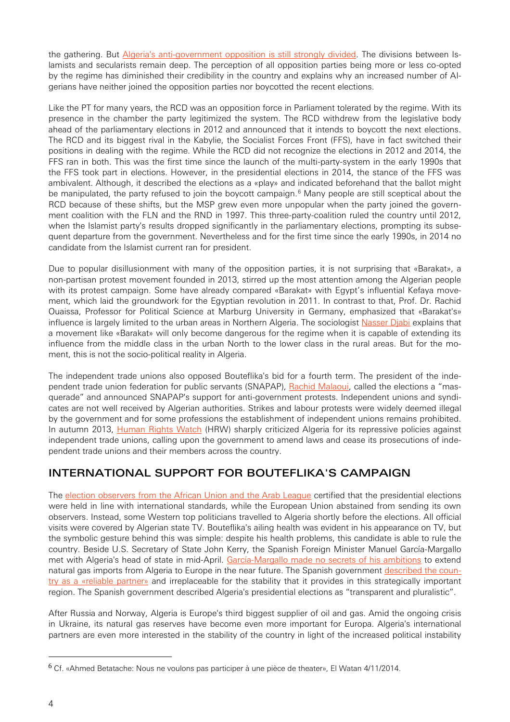the gathering. But [Algeria's anti-government opposition is still strongly divided.](http://www.aljazeera.com/news/africa/2014/03/thousands-algeria-call-poll-boycott-20143225249504437.html) The divisions between Islamists and secularists remain deep. The perception of all opposition parties being more or less co-opted by the regime has diminished their credibility in the country and explains why an increased number of Algerians have neither joined the opposition parties nor boycotted the recent elections.

Like the PT for many years, the RCD was an opposition force in Parliament tolerated by the regime. With its presence in the chamber the party legitimized the system. The RCD withdrew from the legislative body ahead of the parliamentary elections in 2012 and announced that it intends to boycott the next elections. The RCD and its biggest rival in the Kabylie, the Socialist Forces Front (FFS), have in fact switched their positions in dealing with the regime. While the RCD did not recognize the elections in 2012 and 2014, the FFS ran in both. This was the first time since the launch of the multi-party-system in the early 1990s that the FFS took part in elections. However, in the presidential elections in 2014, the stance of the FFS was ambivalent. Although, it described the elections as a «play» and indicated beforehand that the ballot might be manipulated, the party refused to join the boycott campaign.<sup>[6](#page-3-0)</sup> Many people are still sceptical about the RCD because of these shifts, but the MSP grew even more unpopular when the party joined the government coalition with the FLN and the RND in 1997. This three-party-coalition ruled the country until 2012, when the Islamist party's results dropped significantly in the parliamentary elections, prompting its subsequent departure from the government. Nevertheless and for the first time since the early 1990s, in 2014 no candidate from the Islamist current ran for president.

Due to popular disillusionment with many of the opposition parties, it is not surprising that «Barakat», a non-partisan protest movement founded in 2013, stirred up the most attention among the Algerian people with its protest campaign. Some have already compared «Barakat» with Egypt's influential Kefaya movement, which laid the groundwork for the Egyptian revolution in 2011. In contrast to that, Prof. Dr. Rachid Ouaissa, Professor for Political Science at Marburg University in Germany, emphasized that «Barakat's» influence is largely limited to the urban areas in Northern Algeria. The sociologist [Nasser Djabi](http://de.qantara.de/inhalt/praesidentschaftswahlen-in-algerien-der-tiefe-staat) explains that a movement like «Barakat» will only become dangerous for the regime when it is capable of extending its influence from the middle class in the urban North to the lower class in the rural areas. But for the moment, this is not the socio-political reality in Algeria.

The independent trade unions also opposed Bouteflika's bid for a fourth term. The president of the inde-pendent trade union federation for public servants (SNAPAP), [Rachid Malaoui,](http://www.equaltimes.org/fr/in-depth/en-algerie-lurgence-sociale-de-lapres-election) called the elections a "masquerade" and announced SNAPAP's support for anti-government protests. Independent unions and syndicates are not well received by Algerian authorities. Strikes and labour protests were widely deemed illegal by the government and for some professions the establishment of independent unions remains prohibited. In autumn 2013, [Human Rights Watch](http://www.hrw.org/news/2013/10/06/algeria-crackdown-independent-trade-unions) (HRW) sharply criticized Algeria for its repressive policies against independent trade unions, calling upon the government to amend laws and cease its prosecutions of independent trade unions and their members across the country.

## INTERNATIONAL SUPPORT FOR BOUTEFLIKA'S CAMPAIGN

The [election observers from the African Union and the Arab League](http://www.aps.dz/fr/dossier-election-présidentielle-2014/4737-le-scrutin-s-est-déroulé-conformément-aux-standards-internationaux-observateurs) certified that the presidential elections were held in line with international standards, while the European Union abstained from sending its own observers. Instead, some Western top politicians travelled to Algeria shortly before the elections. All official visits were covered by Algerian state TV. Bouteflika's ailing health was evident in his appearance on TV, but the symbolic gesture behind this was simple: despite his health problems, this candidate is able to rule the country. Beside U.S. Secretary of State John Kerry, the Spanish Foreign Minister Manuel García-Margallo met with Algeria's head of state in mid-April. [García-Margallo made no secrets of his ambitions](http://www.faz.net/aktuell/politik/gegen-die-abhaengigkeit-von-moskau-spanien-wirbt-fuer-gas-aus-algerien-12896684.html) to extend natural gas imports from Algeria to Europe in the near future. The Spanish government [described the coun](http://www.aps.dz/fr/dossier-election-présidentielle-2014/4749-présidentielle-l-espagne-félicite-l-algérie-pour-le-déroulement-du-scrutin-dans-un-climat-de-transparence)[try as a «reliable partner»](http://www.aps.dz/fr/dossier-election-présidentielle-2014/4749-présidentielle-l-espagne-félicite-l-algérie-pour-le-déroulement-du-scrutin-dans-un-climat-de-transparence) and irreplaceable for the stability that it provides in this strategically important region. The Spanish government described Algeria's presidential elections as "transparent and pluralistic".

After Russia and Norway, Algeria is Europe's third biggest supplier of oil and gas. Amid the ongoing crisis in Ukraine, its natural gas reserves have become even more important for Europa. Algeria's international partners are even more interested in the stability of the country in light of the increased political instability

<span id="page-3-0"></span> <sup>6</sup> Cf. «Ahmed Betatache: Nous ne voulons pas participer à une pièce de theater», El Watan 4/11/2014.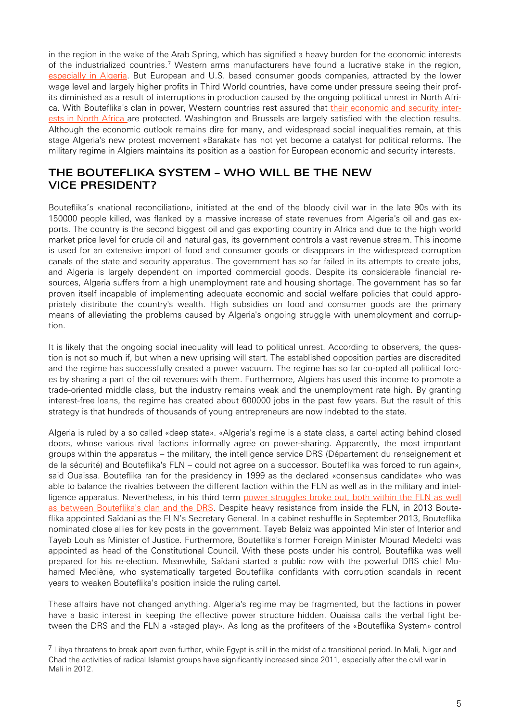in the region in the wake of the Arab Spring, which has signified a heavy burden for the economic interests of the industrialized countries.[7](#page-4-0) Western arms manufacturers have found a lucrative stake in the region, [especially in Algeria.](http://www.heise.de/tp/artikel/38/38643/1.html) But European and U.S. based consumer goods companies, attracted by the lower wage level and largely higher profits in Third World countries, have come under pressure seeing their profits diminished as a result of interruptions in production caused by the ongoing political unrest in North Africa. With Bouteflika's clan in power, Western countries rest assured that [their economic and security inter](http://www.heise.de/tp/artikel/40/40755/1.html)[ests in North Africa a](http://www.heise.de/tp/artikel/40/40755/1.html)re protected. Washington and Brussels are largely satisfied with the election results. Although the economic outlook remains dire for many, and widespread social inequalities remain, at this stage Algeria's new protest movement «Barakat» has not yet become a catalyst for political reforms. The military regime in Algiers maintains its position as a bastion for European economic and security interests.

#### THE BOUTEFLIKA SYSTEM – WHO WILL BE THE NEW VICE PRESIDENT?

Bouteflika's «national reconciliation», initiated at the end of the bloody civil war in the late 90s with its 150000 people killed, was flanked by a massive increase of state revenues from Algeria's oil and gas exports. The country is the second biggest oil and gas exporting country in Africa and due to the high world market price level for crude oil and natural gas, its government controls a vast revenue stream. This income is used for an extensive import of food and consumer goods or disappears in the widespread corruption canals of the state and security apparatus. The government has so far failed in its attempts to create jobs, and Algeria is largely dependent on imported commercial goods. Despite its considerable financial resources, Algeria suffers from a high unemployment rate and housing shortage. The government has so far proven itself incapable of implementing adequate economic and social welfare policies that could appropriately distribute the country's wealth. High subsidies on food and consumer goods are the primary means of alleviating the problems caused by Algeria's ongoing struggle with unemployment and corruption.

It is likely that the ongoing social inequality will lead to political unrest. According to observers, the question is not so much if, but when a new uprising will start. The established opposition parties are discredited and the regime has successfully created a power vacuum. The regime has so far co-opted all political forces by sharing a part of the oil revenues with them. Furthermore, Algiers has used this income to promote a trade-oriented middle class, but the industry remains weak and the unemployment rate high. By granting interest-free loans, the regime has created about 600000 jobs in the past few years. But the result of this strategy is that hundreds of thousands of young entrepreneurs are now indebted to the state.

Algeria is ruled by a so called «deep state». «Algeria's regime is a state class, a cartel acting behind closed doors, whose various rival factions informally agree on power-sharing. Apparently, the most important groups within the apparatus – the military, the intelligence service DRS (Département du renseignement et de la sécurité) and Bouteflika's FLN – could not agree on a successor. Bouteflika was forced to run again», said Ouaissa. Bouteflika ran for the presidency in 1999 as the declared «consensus candidate» who was able to balance the rivalries between the different faction within the FLN as well as in the military and intelligence apparatus. Nevertheless, in his third term power struggles broke out, both within the FLN as well [as between Bouteflika's clan and the DRS.](http://www.monde-diplomatique.de/pm/2014/04/11.archivhome) Despite heavy resistance from inside the FLN, in 2013 Bouteflika appointed Saïdani as the FLN's Secretary General. In a cabinet reshuffle in September 2013, Bouteflika nominated close allies for key posts in the government. Tayeb Belaiz was appointed Minister of Interior and Tayeb Louh as Minister of Justice. Furthermore, Bouteflika's former Foreign Minister Mourad Medelci was appointed as head of the Constitutional Council. With these posts under his control, Bouteflika was well prepared for his re-election. Meanwhile, Saïdani started a public row with the powerful DRS chief Mohamed Mediène, who systematically targeted Bouteflika confidants with corruption scandals in recent years to weaken Bouteflika's position inside the ruling cartel.

These affairs have not changed anything. Algeria's regime may be fragmented, but the factions in power have a basic interest in keeping the effective power structure hidden. Ouaissa calls the verbal fight between the DRS and the FLN a «staged play». As long as the profiteers of the «Bouteflika System» control

<span id="page-4-0"></span> $7$  Libya threatens to break apart even further, while Egypt is still in the midst of a transitional period. In Mali, Niger and Chad the activities of radical Islamist groups have significantly increased since 2011, especially after the civil war in Mali in 2012.